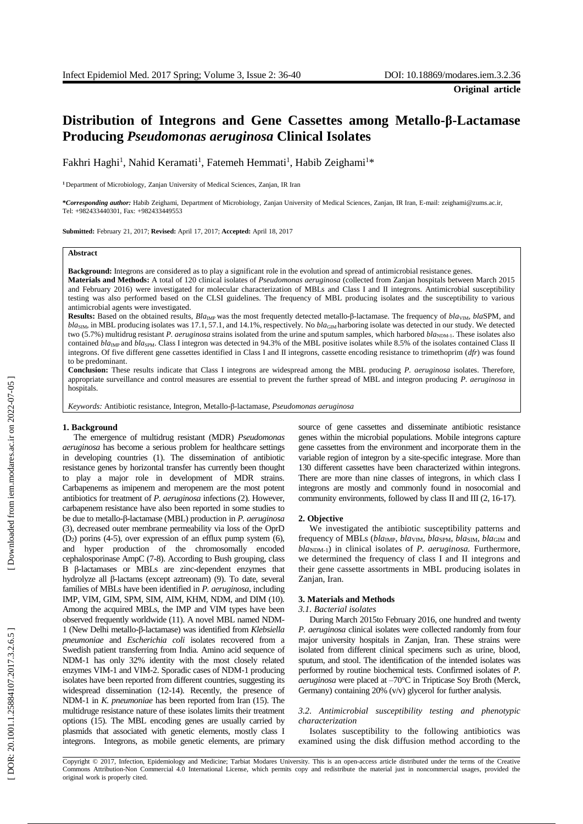# **Distribution of Integrons and Gene Cassettes among Metallo - β - Lactamase Producing** *Pseudomonas aeruginosa* **Clinical Isolates**

Fakhri Haghi<sup>1</sup>, Nahid Keramati<sup>1</sup>, Fatemeh Hemmati<sup>1</sup>, Habib Zeighami<sup>1</sup>\*

**<sup>1</sup>**Department of Microbiology, Zanjan University of Medical Sciences, Zanjan, IR Iran

**\****Corresponding author:* Habib Zeighami, Department of Microbiology, Zanjan University of Medical Sciences, Zanjan, IR Iran, E -mail[: zeighami@zums.ac.ir,](mailto:zeighami@zums.ac.ir)  Tel: +982433440301, Fax: +982433449553

**Submitted:** February 21, 2017; **Revised:** April 17, 2017; **Accepted:** April 18, 2017

## **Abstract**

**Background:** Integrons are considered as to play a significant role in the evolution and spread of antimicrobial resistance genes.

**Materials and Methods:** A total of 120 clinical isolates of *Pseudomonas aeruginosa* (collected from Zanjan hospitals between March 2015 and February 2016) were investigated for molecular characterization of MBLs and Class I and II integrons. Antimicrobial susceptibility testing was also performed based on the CLSI guidelines. The frequency of MBL producing isolates and the susceptibility to various antimicrobial agents were investigated .

**Results:** Based on the obtained results, *Bla<sub>IMP</sub>* was the most frequently detected metallo-β-lactamase. The frequency of *bla<sub>VIM</sub>*, *blaSPM*, and bla<sub>SIM</sub>, in MBL producing isolates was 17.1, 57.1, and 14.1%, respectively. No bla<sub>GIM</sub> harboring isolate was detected in our study. We detected two (5.7%) multidrug resistant P. aeruginosa strains isolated from the urine and sputum samples, which harbored bla<sub>NDM-1</sub>. These isolates also contained *bla*<sub>IMP</sub> and *blasPM*. Class I integron was detected in 94.3% of the MBL positive isolates while 8.5% of the isolates contained Class II integrons. Of five different gene cassettes identified in Class I and II integrons, cassette encoding resistance to trimethoprim (*dfr*) was found to be predominant.

**Conclusion:** These results indicate that Class I integrons are widespread among the MBL producing *P. aeruginosa* isolates. Therefore, appropriate surveillance and control measures are essential to prevent the further spread of MBL and integron producing *P. aeruginosa* in hospitals.

*Keywords:* Antibiotic resistance, Integron, Metallo - β - lactamase, *Pseudomonas aeruginosa*

## **1. Background**

The emergence of multidrug resistant (MDR) *Pseudomonas aeruginosa* has become a serious problem for healthcare settings in developing countries ( 1 ). The dissemination of antibiotic resistance genes by horizontal transfer has currently been thought to play a major role in development of MDR strains. Carbapenems as imipenem and meropenem are the most potent antibiotics for treatment of *P. aeruginosa* infections ( 2 ) . However, carbapenem resistance have also been reported in some studies to be due to metallo-β-lactamase (MBL) production in *P. aeruginosa* ( 3 ) , decreased outer membrane permeability via loss of the OprD  $(D<sub>2</sub>)$  porins (4-5), over expression of an efflux pump system (6), and hyper production of the chromosomally encoded cephalosporinase AmpC ( 7 - 8 ). According to Bush grouping, class B β -lactamases or MBLs are zinc -dependent enzymes that hydrolyze all β-lactams (except aztreonam) (9). To date, several families of MBLs have been identified in *P. aeruginosa,* including IMP, VIM, GIM, SPM, SIM, AIM, KHM, NDM, and DIM (10). Among the acquired MBLs, the IMP and VIM types have been observed frequently worldwide (11 ). A novel MBL named NDM - 1 (New Delhi metallo - β -lactamase) was identified from *Klebsiella pneumoniae* and *Escherichia coli* isolates recovered from a Swedish patient transferring from India. Amino acid sequence of NDM -1 has only 32% identity with the most closely related enzymes VIM -1 and VIM -2. Sporadic cases of NDM -1 producing isolates have been reported from different countries, suggesting its widespread dissemination (12 -14 ). Recently, the presence of NDM -1 in *K. pneumoniae* has been reported from Iran (15 ). The multidruge resistance nature of these isolates limits their treatment options (15 ). The MBL encoding genes are usually carried by plasmids that associated with genetic elements, mostly class I integrons. Integrons, as mobile genetic elements, are primary

source of gene cassettes and disseminate antibiotic resistance genes within the microbial populations. Mobile integrons capture gene cassettes from the environment and incorporate them in the variable region of integron by a site -specific integrase. More than 130 different cassettes have been characterized within integrons. There are more than nine classes of integrons, in which class I integrons are mostly and commonly found in nosocomial and community environments, followed by class II and III (2, 16-17).

## **2. Objective**

We investigated the antibiotic susceptibility patterns and frequency of MBLs (*bla*IMP*, bla*VIM*, bla*SPM*, bla*SIM*, bla*GIM and  $blan<sub>DM-1</sub>$ ) in clinical isolates of *P. aeruginosa*. Furthermore, we determined the frequency of class I and II integrons and their gene cassette assortments in MBL producing isolates in Zanjan, Iran.

## **3. Materials and Methods**

## *3.1. Bacterial isolates*

During March 2015to February 2016, one hundred and twenty *P. aeruginosa* clinical isolates were collected randomly from four major university hospitals in Zanjan, Iran. These strains were isolated from different clinical specimens such as urine, blood, sputum , and stool. The identification of the intended isolates was performed by routine biochemical tests. Confirmed isolates of *P. aeruginosa* were placed at –70°C in Tripticase Soy Broth (Merck, Germany) containing 20% (v/v) glycerol for further analysis.

*3.2. Antimicrobial susceptibility testing and phenotypic characterization*

Isolates susceptibility to the following antibiotics was examined using the disk diffusion method according to the

Copyright © 2017, Infection, Epidemiology and Medicine; Tarbiat Modares University. This is an open -access article distributed under the terms of the Creative Commons Attribution -Non Commercial 4.0 International License, which permits copy and redistribute the material just in noncommercial usages, provided the original work is properly cited .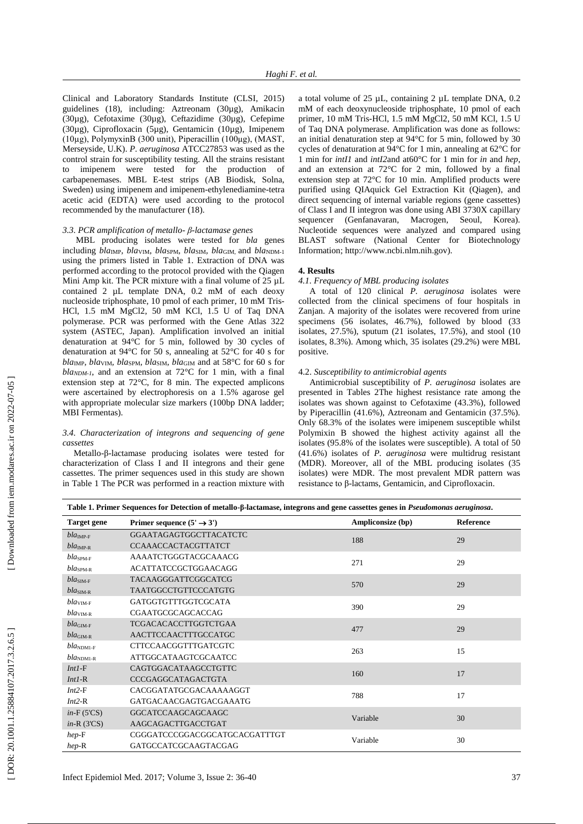Clinical and Laboratory Standards Institute (CLSI, 2015) guidelines (18 ), including: Aztreonam (30µg), Amikacin (30µg), Cefotaxime (30µg), Ceftazidime (30µg), Cefepime (30µg), Ciprofloxacin (5µg), Gentamicin (10µg), Imipenem (10µg), PolymyxinB (300 unit), Piperacillin (100μg), (MAST, Merseyside, U.K). *P. aeruginosa* ATCC27853 was used as the control strain for susceptibility testing. All the strains resistan t to imipenem were tested for the production of carbapenemases. MBL E -test strips (AB Biodisk, Solna, Sweden) using imipenem and imipenem -ethylenediamine -tetra acetic acid (EDTA) were used according to the protocol recommended by the manufacturer (18 ).

## *3.3. PCR amplification of metallo - β -lactamase genes*

MBL producing isolates were tested for *bla* genes including *bla*IMP*, bla*VIM*, bla*SPM*, bla*SIM*, bla*GIM, and *bla*NDM -1 using the primers listed in Table 1. Extraction of DNA was performed according to the protocol provided with the Qiagen Mini Amp kit. The PCR mixture with a final volume of 25 µ L contained 2 µ L template DNA , 0.2 mM of each deoxy nucleoside triphosphate , 10 pmol of each primer , 10 mM Tris - HCl , 1.5 mM MgCl2 , 50 mM KCl , 1.5 U of Taq DNA polymerase. PCR was performed with the Gene Atlas 322 system (ASTEC, Japan). Amplification involved an initial denaturation at 94°C for 5 min , followed by 30 cycles of denaturation at 94°C for 50 s, annealing at 52°C for 40 s for *bla*IMP*, bla*VIM*, bla*SPM*, bla*SIM*, bla*GIM and at 58°C for 60 s for  $blan<sub>DM-1</sub>$ , and an extension at 72<sup>o</sup>C for 1 min, with a final extension step at 72°C, for 8 min. The expected amplicons were ascertained by electrophoresis on a 1.5% agarose gel with appropriate molecular size markers (100bp DNA ladder; MBI Fermentas).

# *3.4. Characterization of integrons and sequencing of gene cassettes*

Metallo - β -lactamase producing isolates were tested for characterization of Class I and II integrons and their gene cassettes. The primer sequences used in this study are shown in Table 1 The PCR was performed in a reaction mixture with

a total volume of 25  $\mu$ L, containing 2  $\mu$ L template DNA, 0.2 mM of each deoxynucleoside triphosphate , 10 pmol of each primer , 10 mM Tris -HCl , 1.5 mM MgCl2 , 50 mM KCl , 1.5 U of Taq DNA polymerase. Amplification was done as follows: an initial denaturation step at 94°C for 5 min , followed by 30 cycles of denaturation at 94°C for 1 min, annealing at 62°C for 1 min for *intI1* and *intI2*and at60°C for 1 min for *in* and *hep*, and an extension at 72°C for 2 min, followed by a final extension step at 72°C for 10 min. Amplified products were purified using QIAquick Gel Extraction Kit (Qiagen) , and direct sequencing of internal variable regions (gene cassettes) of Class I and II integron was done using ABI 3730X capillary sequencer (Genfanavaran, Macrogen, Seoul, Korea). Nucleotide sequences were analyzed and compared using BLAST software (National Center for Biotechnology Information; http://www.ncbi.nlm.nih.gov).

## **4. Results**

## *4.1. Frequency of MBL producing isolates*

A total of 120 clinical *P. aeruginosa* isolates were collected from the clinical specimens of four hospitals in Zanjan. A majority of the isolates were recovered from urine specimens (56 isolates , 46.7%), followed by blood (33 isolates, 27.5%), sputum (21 isolates, 17.5%) , and stool (10 isolates, 8.3%) . Among which, 35 isolates (29.2%) were MBL positive.

## 4.2. *Susceptibility to antimicrobial agents*

Antimicrobial susceptibilit y of *P. aeruginosa* isolates are presented in Tables 2The highest resistance rate among the isolates was show n against to Cefotaxime (43.3%), followed by Piperacillin (41.6%), Aztreonam and Gentamicin (37.5%). Only 68.3% of the isolates were imipenem susceptible whilst Polymixin B showed the highest activity against all the isolates (95.8% of the isolates were susceptible). A total of 50 (41.6%) isolates of *P. aeruginosa* were multidrug resistant (MDR). Moreover, all of the MBL producing isolates (35 isolates) were MDR. The most prevalent MDR pattern was resistance to β -lactams, Gentamicin , and Ciprofloxacin.

| <b>Target gene</b>    | Primer sequence $(5' \rightarrow 3')$ | Ampliconsize (bp) | Reference |
|-----------------------|---------------------------------------|-------------------|-----------|
| $bla_{\text{IMP-F}}$  | <b>GGAATAGAGTGGCTTACATCTC</b>         | 188               | 29        |
| $bla_{\text{IMP-R}}$  | <b>CCAAACCACTACGTTATCT</b>            |                   |           |
| $bla_{SPM-F}$         | AAAATCTGGGTACGCAAACG                  | 271               | 29        |
| $bla_{SPM-R}$         | <b>ACATTATCCGCTGGAACAGG</b>           |                   |           |
| $blaSIM-F$            | <b>TACAAGGGATTCGGCATCG</b>            | 570               | 29        |
| $blaSIM-R$            | <b>TAATGGCCTGTTCCCATGTG</b>           |                   |           |
| $blaVIM-F$            | GATGGTGTTTGGTCGCATA                   | 390               | 29        |
| $blaVIM-R$            | CGAATGCGCAGCACCAG                     |                   |           |
| $blaGIM-F$            | TCGACACACCTTGGTCTGAA                  |                   | 29        |
| $blaGIM-R$            | AACTTCCAACTTTGCCATGC                  | 477               |           |
| $bla_{NDM1-F}$        | CTTCCAACGGTTTGATCGTC                  | 263               | 15        |
| $bla_{\text{NDMI-R}}$ | <b>ATTGGCATAAGTCGCAATCC</b>           |                   |           |
| $Int1-F$              | CAGTGGACATAAGCCTGTTC                  | 160               | 17        |
| $Int1-R$              | CCCGAGGCATAGACTGTA                    |                   |           |
| $Int2-F$              | CACGGATATGCGACAAAAAGGT                | 788               | 17        |
| $Int2-R$              | <b>GATGACAACGAGTGACGAAATG</b>         |                   |           |
| $in$ -F(5'CS)         | GGCATCCAAGCAGCAAGC                    |                   | 30        |
| $in-R$ (3'CS)         | AAGCAGACTTGACCTGAT                    | Variable          |           |
| $hep-F$               | CGGGATCCCGGACGGCATGCACGATTTGT         |                   | 30        |
| $hep-R$               | GATGCCATCGCAAGTACGAG                  | Variable          |           |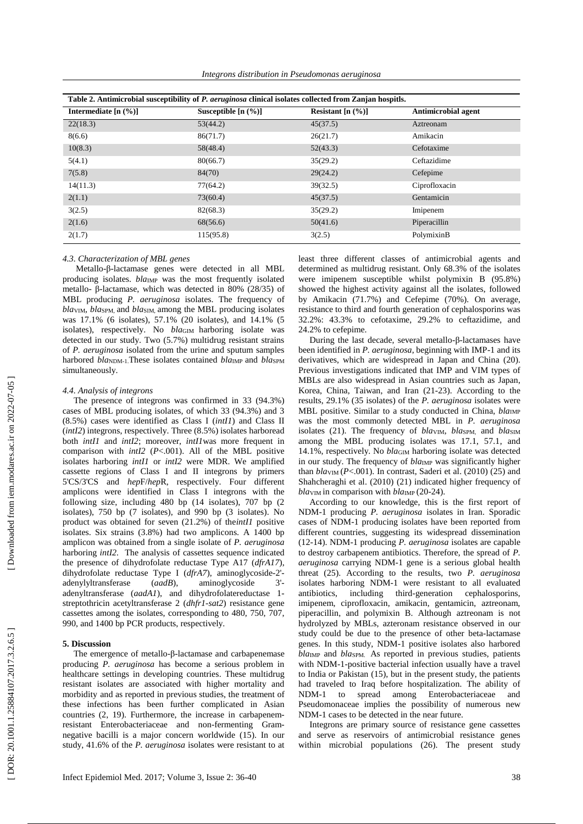| Table 2. Antimicrobial susceptibility of P. aeruginosa clinical isolates collected from Zanjan hospitls. |                       |                     |                            |  |  |
|----------------------------------------------------------------------------------------------------------|-----------------------|---------------------|----------------------------|--|--|
| Intermediate $[n (%)]$                                                                                   | Susceptible $[n (%)]$ | Resistant $[n (%)]$ | <b>Antimicrobial agent</b> |  |  |
| 22(18.3)                                                                                                 | 53(44.2)              | 45(37.5)            | Aztreonam                  |  |  |
| 8(6.6)                                                                                                   | 86(71.7)              | 26(21.7)            | Amikacin                   |  |  |
| 10(8.3)                                                                                                  | 58(48.4)              | 52(43.3)            | Cefotaxime                 |  |  |
| 5(4.1)                                                                                                   | 80(66.7)              | 35(29.2)            | Ceftazidime                |  |  |
| 7(5.8)                                                                                                   | 84(70)                | 29(24.2)            | Cefepime                   |  |  |
| 14(11.3)                                                                                                 | 77(64.2)              | 39(32.5)            | Ciprofloxacin              |  |  |
| 2(1.1)                                                                                                   | 73(60.4)              | 45(37.5)            | Gentamicin                 |  |  |
| 3(2.5)                                                                                                   | 82(68.3)              | 35(29.2)            | Imipenem                   |  |  |
| 2(1.6)                                                                                                   | 68(56.6)              | 50(41.6)            | Piperacillin               |  |  |
| 2(1.7)                                                                                                   | 115(95.8)             | 3(2.5)              | PolymixinB                 |  |  |

## *4.3. Characterization of MBL genes*

Metallo - β -lactamase genes were detected in all MBL producing isolates. *blaIMP* was the most frequently isolated metallo- β-lactamase, which was detected in 80% (28/35) of MBL producing *P. aeruginosa* isolates. The frequency of *bla*VIM*, bla*SPM, and *bla*SIM*,* among the MBL producing isolates was 17.1% (6 isolates), 57.1% (20 isolat es) , and 14.1% (5 isolates) , respectively. No *bla*GIM harboring isolate was detected in our study. Two (5.7%) multidrug resistant strains of *P. aeruginosa* isolated from the urine and sputum samples harbored *bla*NDM-1. These isolates contained *bla*IMP and *blasPM* simultaneously.

# *4.4. Analysis of integrons*

The presence of integrons was confirmed in 33 (94.3%) cases of MBL producing isolates, of which 33 (94.3%) and 3 (8.5%) cases were identified as Class I (*intI1*) and Class II (*intI2*) integrons, respectively. Three (8.5%) isolates harboread both *intI1* and *intI2* ; moreover, *intI1*was more frequent in comparison with *intI2* ( *P*<.001). All of the MBL positive isolates harboring *intI1* or *intI2* were MDR. We amplified cassette regions of Class I and II integrons by primers 5'CS/3'CS and *hep*F/*hep* R, respectively. Four different amplicons were identified in Class I integrons with the following size, including 480 bp (14 isolates), 707 bp (2 isolates), 750 bp (7 isolates) , and 990 bp (3 isolates). No product was obtained for seven (21.2%) of the*intI1* positive isolates . Six strains (3.8%) had two amplicons. A 1400 bp amplicon was obtained from a single isolate of *P. aeruginosa* harboring *intI2*. The analysis of cassettes sequence indicated the presence of dihydrofolate reductase Type A17 (*dfrA17*), dihydrofolate reductase Type I (*dfrA7*), aminoglycoside -2' adenylyltransferase (aadB), aminoglycoside  $3'$ adenyltransferase (*aadA1* ) , and dihydrofolatereductase 1 streptothricin acetyltransferase 2 (*dhfr1 -sat2*) resistance gene cassettes among the isolates, corresponding to 480, 750, 707, 990 , and 1400 bp PCR products, respectively.

## **5. Discussion**

The emergence of metallo - β -lactamase and carbapenemase producing *P. aeruginosa* has become a serious problem in healthcare settings in developing countries. These multidrug resistant isolates are associated with higher mortality and morbidity and as reported in previous studies, the treatment of these infections has been further complicated in Asian countries ( 2, 19 ). Furthermore, the increase in carbapenem resistant Enterobacteriaceae and non -fermenting Gram negative bacilli is a major concern worldwide (15 ). In our study, 41.6% of the *P. aeruginosa* isolates were resistant to at

least three different classes of antimicrobial agents and determined as multidrug resistant. Only 68.3% of the isolates were imipenem susceptible whilst polymixin B (95.8%) showed the highest activity against all the isolates , followed by Amikacin (71.7%) and Cefepime (70%). On average, resistance to third and fourth generation of cephalosporins was 32.2%: 43.3% to cefotaxime , 29.2% to ceftazidime , and 24.2% to cefepime.

During the last decade, several metallo-β-lactamases have been identified in *P. aeruginosa*, beginning with IMP -1 and its derivatives, which are widespread in Japan and China (20 ). Previous investigations indicated that IMP and VIM types of MBLs are also widespread in Asian countries such as Japan, Korea, China, Taiwan , and Iran (21 -23 ). According to the results, 29.1% (35 isolates) of the *P. aeruginosa* isolates were MBL positive. Similar to a study conducted in China,  $bla_{\text{IMP}}$ was the most commonly detected MBL in *P. aeruginosa* isolates (21). The frequency of *blavIM*, *blasPM*, and *blasIM* among the MBL producing isolates was 17.1, 57.1 , and 14.1%, respectively. No *bla*GIM harboring isolate was detected in our study. The frequency of *blaIMP* was significantly higher than  $blav<sub>IM</sub>$  ( $P<.001$ ). In contrast, Saderi et al. (2010) (25) and Shahcheraghi et al. (2010) (21) indicated higher frequency of *bla*<sub>VIM</sub> in comparison with *bla*<sub>IMP</sub> (20-24).

According to our knowledge, this is the first report of NDM -1 producing *P. aeruginosa* isolates in Iran. Sporadic cases of NDM -1 producing isolates have been reported from different countries, suggesting its widespread dissemination (12-14). NDM-1 producing *P. aeruginosa* isolates are capable to destroy carbapenem antibiotics. Therefore, the spread of *P. aeruginosa* carrying NDM -1 gene is a serious global health threat (25 ). According to the results, two *P. aeruginosa* isolates harboring NDM -1 were resistant to all evaluated antibiotics, including third cephalosporins, imipenem, ciprofloxacin, amikacin, gentamicin, aztreonam, piperacillin , and polymixin B. Although aztreonam is not hydrolyzed by MBLs , azteronam resistance observed in our study could be due to the presence of other beta -lactamase genes. In this study, NDM -1 positive isolates also harbored  $bla$ <sub>IMP</sub> and  $bla$ <sub>SPM</sub>. As reported in previous studies, patients with NDM - 1 -positive bacterial infection usually have a travel to India or Pakistan (15 ) , but in the present study, the patients had traveled to Iraq before hospitalization. The ability of NDM to spread among Enterobacteriaceae and Pseudomonaceae implies the possibility of numerous new NDM -1 cases to be detected in the near future.

Integrons are primary source of resistance gene cassettes and serve as reservoirs of antimicrobial resistance genes within microbial populations (26 ). The present study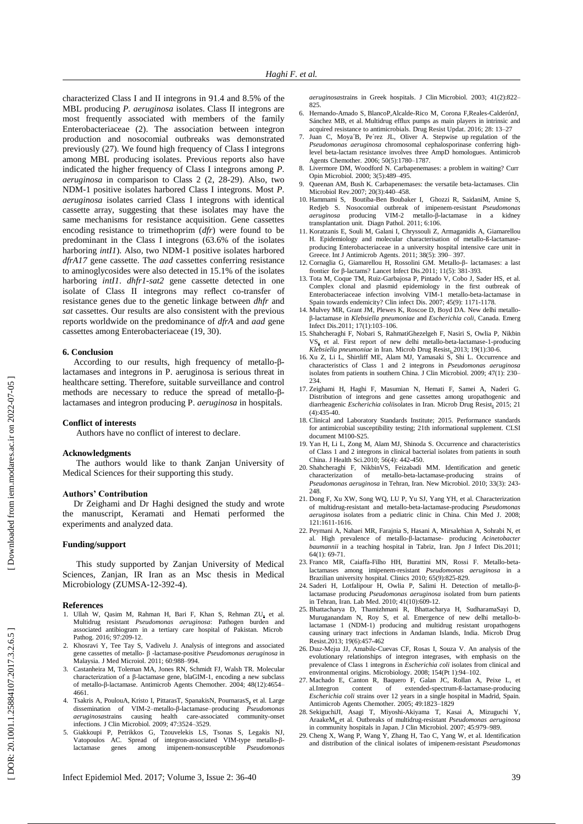characterized Class I and II integrons in 91.4 and 8.5% of the MBL producing *P. aeruginosa* isolates. Class II integrons are most frequently associated with members of the family Enterobacteriaceae ( 2 ). The association between integron production and nosocomial outbreaks was demonstrated previously (27 ). We found high frequency of Class I integrons among MBL producing isolates. Previous reports also have indicated the higher frequency of Class I integrons among *P. aeruginosa* in comparison to Class 2 (2, 28 -29 ) . Also, two NDM -1 positive isolates harbored Class I integrons. Most *P. aeruginosa* isolates carried Class I integrons with identical cassette array, suggesting that these isolates may have the same mechanisms for resistance acquisition. Gene cassettes encoding resistance to trimethoprim (*dfr*) were found to be predominant in the Class I integrons (63.6% of the isolates harboring *intI1*). Also, two NDM -1 positive isolates harbored *dfrA17* gene cassette. The *aad* cassettes conferring resistance to aminoglycosides were also detected in 15.1% of the isolates harboring *intI1*. *dhfr1 -sat2* gene cassette detected in one isolate of Class II integrons may re flect c o -transfer of resistance genes due to the genetic linkage between *dhfr* and *sat* cassettes. Our results are also consistent with the previous reports worldwide on the predominance of *dfrA* and *aad* gene cassettes among Enterobacteriaceae (19, 30 ).

## **6. Conclusion**

According to our results, high frequency of metallo-βlactamases and integrons in P. aeruginosa is serious threat in healthcare setting. Therefore, suitable surveillance and control methods are necessary to reduce the spread of metallo-βlactamases and integron producing P. *aeruginosa* in hospitals.

## **Conflict of interest s**

Authors have no conflict of interest to declare .

## **Acknowledgment s**

The authors would like to thank Zanjan University of Medical Sciences for their supporting this study.

#### **Authors' Contribution**

Dr Zeighami and Dr Haghi designed the study and wrote the manuscript, Keramati and Hemati performed the experiments and analyzed data .

## **Funding/support**

This study supported by Zanjan University of Medical Sciences, Zanjan, IR Iran as an Msc thesis in Medical Microbiology (ZUMSA-12-392-4).

#### **References**

- 1. [Ullah W,](https://www.ncbi.nlm.nih.gov/pubmed/?term=Ullah%20W%5BAuthor%5D&cauthor=true&cauthor_uid=27317858) [Qasim M,](https://www.ncbi.nlm.nih.gov/pubmed/?term=Qasim%20M%5BAuthor%5D&cauthor=true&cauthor_uid=27317858) [Rahman H,](https://www.ncbi.nlm.nih.gov/pubmed/?term=Rahman%20H%5BAuthor%5D&cauthor=true&cauthor_uid=27317858) [Bari F,](https://www.ncbi.nlm.nih.gov/pubmed/?term=Bari%20F%5BAuthor%5D&cauthor=true&cauthor_uid=27317858) [Khan S,](https://www.ncbi.nlm.nih.gov/pubmed/?term=Khan%20S%5BAuthor%5D&cauthor=true&cauthor_uid=27317858) [Rehman ZU](https://www.ncbi.nlm.nih.gov/pubmed/?term=Rehman%20ZU%5BAuthor%5D&cauthor=true&cauthor_uid=27317858) **,** et al. Multidrug resistant *Pseudomonas aeruginosa*: Pathogen burden and associated antibiogram in a tertiary care hospital of Pakistan. [Microb](https://www.ncbi.nlm.nih.gov/pubmed/27317858) [Pathog.](https://www.ncbi.nlm.nih.gov/pubmed/27317858) 2016; 97:209 -12.
- 2. Khosravi Y, Tee Tay S, Vadivelu J. Analysis of integrons and associated gene cassettes of metallo - β -lactamase -positive *Pseudomonas aeruginosa* in Malaysia. J Med Microiol. 2011; 60:988 –994 .
- 3. Castanheira M, Toleman MA, Jones RN, Schmidt FJ , Walsh TR. Molecular characterization of a β-lactamase gene, blaGIM-1, encoding a new subclass of metallo-β-lactamase. Antimicrob Agents Chemother. 2004; 48(12):4654-4661 .
- 4. [Tsakris](http://jcm.asm.org/search?author1=Athanassios+Tsakris&sortspec=date&submit=Submit) A[, PoulouA](http://jcm.asm.org/search?author1=Aggeliki+Poulou&sortspec=date&submit=Submit)[,](http://jcm.asm.org/search?author1=Ioulia+Kristo&sortspec=date&submit=Submit) [Kristo](http://jcm.asm.org/search?author1=Ioulia+Kristo&sortspec=date&submit=Submit) I, Pittaras [T,](http://jcm.asm.org/search?author1=Theodore+Pittaras&sortspec=date&submit=Submit) Spanakis [N,](http://jcm.asm.org/search?author1=Nicholas+Spanakis&sortspec=date&submit=Submit) Pournaras [S](http://jcm.asm.org/search?author1=Spyros+Pournaras&sortspec=date&submit=Submit) **,** et al. Large dissemination of VIM-2-metallo-β-lactamase-producing *Pseudomonas aeruginosa* strains causing health care - associated community - onset infections. J Clin Microbiol. 2009; 47:3524 –3529 .
- 5. Giakkoupi P, Petrikkos G, Tzouvelekis LS, Tsonas S, Legakis NJ , Vatopoulos AC. Spread of integron-associated VIM-type metallo-βlactamase genes among imipenem - nonsusceptible *Pseudomonas*

Infect Epidemiol Med. 2017; Volume 3, Issue 2: 3 6

- 6. Hernando -Amado S, BlancoP,Alcalde -Rico M, Corona F,Reales -CalderónJ, Sánchez MB , et al. Multidrug efflux pumps as main players in intrinsic and acquired resistance to antimicrobials. Drug Resist Updat . 2016; 28: 13 –27
- 7. Juan C, Moya´B, Pe´rez JL , Oliver A. Stepwise up regulation of the *Pseudomonas aeruginosa* chromosomal cephalosporinase conferring high level beta -lactam resistance involves three AmpD homologues. Antimicrob Agents Chemother. 2006; 50(5):1780 –1787 .
- 8. Livermore DM , Woodford N. Carbapenemases: a problem in waiting? Curr Opin Microbiol. 2000; 3(5):489-495.
- 9. Queenan AM , Bush K. Carbapenemases: the versatile beta -lactamases. Clin Microbiol Rev .2007; 20(3):440 –458 .
- 10. Hammami S, Boutiba -Ben Boubaker I, Ghozzi R, SaidaniM, Amine S , Redjeb S. Nosocomial outbreak of imipenem -resistant *Pseudomonas aeruginosa* producing VIM -2 metallo - β -lactamase in a kidney transplantation unit. Diagn Pathol . 2011; 6:106 .
- 11. Koratzanis E, Souli M, Galani I, Chryssouli Z, Armaganidis A, Giamarellou H. Epidemiology and molecular characterisation of metallo-ß-lactamaseproducing Enterobacteriaceae in a university hospital intensive care unit in Greece. Int J Antimicrob Agents. 2011; 38(5): 390–397.
- 12. Cornaglia G, Giamarellou H, Rossolini GM. Metallo-β- lactamases: a last frontier for β -lactams? Lancet Infect Dis .2011; 11(5): 381 -393 .
- 13. Tota M, Coque TM, Ruiz -Garbajosa P, Pintado V, Cobo J, Sader HS , et al. Complex clonal and plasmid epidemiology in the first outbreak of Enterobacteriaceae infection involving VIM-1 metallo-beta-lactamase in Spain towards endemicity? Clin infect Dis. 2007; 45(9): 1171-1178.
- 14. Mulvey MR, Grant JM, Plewes K, Roscoe D, Boyd DA. New delhi metallo β - lactamase in *Klebsiell a pneumoniae* and *Escherichia coli*, Canada. Emerg Infect Dis .2011; 17(1):103 –106 .
- 15. [Shahcheraghi F,](http://www.ncbi.nlm.nih.gov/pubmed?term=Shahcheraghi%20F%5BAuthor%5D&cauthor=true&cauthor_uid=22984942) [Nobari S,](http://www.ncbi.nlm.nih.gov/pubmed?term=Nobari%20S%5BAuthor%5D&cauthor=true&cauthor_uid=22984942) [RahmatiGhezelgeh F,](http://www.ncbi.nlm.nih.gov/pubmed?term=Rahmati%20Ghezelgeh%20F%5BAuthor%5D&cauthor=true&cauthor_uid=22984942) [Nasiri S,](http://www.ncbi.nlm.nih.gov/pubmed?term=Nasiri%20S%5BAuthor%5D&cauthor=true&cauthor_uid=22984942) [Owlia P,](http://www.ncbi.nlm.nih.gov/pubmed?term=Owlia%20P%5BAuthor%5D&cauthor=true&cauthor_uid=22984942) [Nikbin VS](http://www.ncbi.nlm.nih.gov/pubmed?term=Nikbin%20VS%5BAuthor%5D&cauthor=true&cauthor_uid=22984942)**,** et al. First report of new delhi metallo-beta-lactamase-1-producing *Klebsiella pneumoniae* in Iran[. Microb Drug Resist](http://www.ncbi.nlm.nih.gov/pubmed/22984942)**.** 2013; 19(1):30 - 6 .
- 16. Xu Z, Li L, Shirtliff ME, Alam MJ, Yamasaki S, Shi L. Occurrence and characteristics of Class 1 and 2 integrons in *Pseudomonas aeruginosa* isolates from patients in southern China. J Clin Microbiol. 2009; 47(1): 230 – 234 .
- 17. Zeighami H, Haghi F, Masumian N, Hemati F, Samei A, Naderi G. Distribution of integrons and gene cassettes among uropathogenic and diarrheagenic Escherichia coliisolates in Iran. [Microb Drug Resist](https://www.ncbi.nlm.nih.gov/pubmed/25658172). 2015; 21 (4):435 -40.
- 18. Clinical and Laboratory Standards Institute; 2015. Performance standards for antimicrobial susceptibility testing; 21th informational supplement . CLSI document M100 - S25.
- 19. Yan H, Li L, Zong M, Alam MJ, Shinoda S. Occurrence and characteristics of Class 1 and 2 integrons in clinical bacterial isolates from patients in south China. J Health Sci.2010; 56(4): 442-450.
- 20. Shahcheraghi F, NikbinVS, Feizabadi MM . Identification and genetic characterization of metallo -beta -lactamase -producing strains of *Pseudomonas aeruginosa* in Tehran, Iran. New Microbiol. 2010; 33(3) : 243 - 248 .
- 21. Dong F, Xu XW, Song WQ, LU P, Yu SJ, Yang YH , et al. Characterization of multidrug -resistant and metallo -beta -lactam ase -producing *Pseudomonas aeruginosa* isolates from a pediatric clinic in China. Chin Med J . 2008; 121:1611 -1616 .
- 22. Peymani A, Nahaei MR, Farajnia S, Hasani A, Mirsalehian A, Sohrabi N , et al. High prevalence of metallo - β -lactamase - producing *Acinetobacter baumannii* in a teaching hospital in Tabriz, Iran. Jpn J Infect Dis .2011; 64(1): 69 -71.
- 23. Franco MR, Caiaffa-Filho HH, Burattini MN, Rossi F. Metallo-betalactamases among imipenem -resistant *Pseudomonas aeruginosa* in a Brazilian university hospital. Clinics 2010; 65(9):825-829.
- 24. Saderi H, Lotfalipour H, Owlia P, Salimi H. Detection of metallo β lactamase producing *Pseudomonas aeruginosa* isolated from burn patients in Tehran, Iran. Lab Med. 2010; 41(10):609-12.
- 25. Bhattacharya D, Thamizhmani R, Bhattacharya H, SudharamaSayi D, Muruganandam N, Roy S, et al. Emergence of new delhi metallo-blactamase 1 (NDM -1) producing and multidrug resistant uropathogens causing urinary tract infections in Andaman Islands, India. Microb Drug Resist .2013; 19(6):457 -462
- 26. Dıaz -Mejıa JJ, Amabile -Cuevas CF, Rosas I, Souza V . An analysis of the evolutionary relationships of integron integrases, with emphasis on the prevalence of Class 1 integrons in *Escherichia coli* isolates from clinical and environmental origins. Microbiology. 2008; 154(Pt 1):94-102.
- 27. Machado E, Canton R, Baquero F, Galan JC, Rollan A, Peixe L , et al.Integron content of extended -spectrum - ß -lactamase -producing *Escherichia coli* strains over 12 years in a single hospital in Madrid, Spain. Antimicrob Agents Chemother. 2005; 49:1823 –1829
- 28. [SekiguchiJ](http://www.ncbi.nlm.nih.gov/pubmed/?term=Sekiguchi%20JI%5Bauth%5D)I, [Asagi](http://www.ncbi.nlm.nih.gov/pubmed/?term=Asagi%20T%5Bauth%5D) T, Miyoshi [-Akiyama](http://www.ncbi.nlm.nih.gov/pubmed/?term=Miyoshi-Akiyama%20T%5Bauth%5D) T, Kasai [A,](http://www.ncbi.nlm.nih.gov/pubmed/?term=Kasai%20A%5Bauth%5D) Mizuguchi [Y,](http://www.ncbi.nlm.nih.gov/pubmed/?term=Mizuguchi%20Y%5Bauth%5D)  Araake[M](http://www.ncbi.nlm.nih.gov/pubmed/?term=Araake%20M%5Bauth%5D), et [al](http://www.ncbi.nlm.nih.gov/pubmed/?term=Kirikae%20T%5Bauth%5D). Outbreaks of multidrug-resistant Pseudomonas aeruginosa in community hospitals in Japan. J Clin Microbiol. 2007; 45:979 –989 .
- 29. Cheng X, Wang P, Wang Y, Zhang H, Tao C, Yang W , et al. Identification and distribution of the clinical isolates of imipenem -resistant *Pseudomonas*